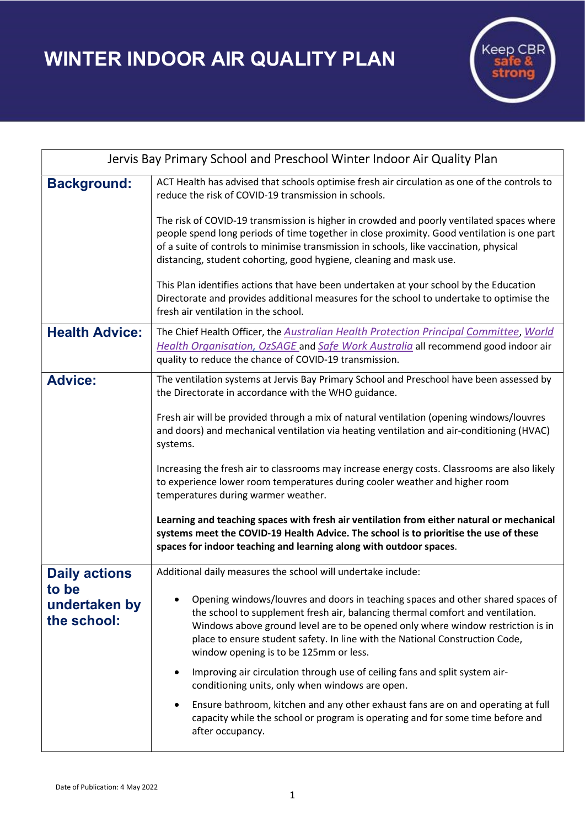WINTER INDOOR AIR QUALITY PLAN



| Jervis Bay Primary School and Preschool Winter Indoor Air Quality Plan |                                                                                                                                                                                                                                                                                                                                                                                |
|------------------------------------------------------------------------|--------------------------------------------------------------------------------------------------------------------------------------------------------------------------------------------------------------------------------------------------------------------------------------------------------------------------------------------------------------------------------|
| <b>Background:</b>                                                     | ACT Health has advised that schools optimise fresh air circulation as one of the controls to<br>reduce the risk of COVID-19 transmission in schools.                                                                                                                                                                                                                           |
|                                                                        | The risk of COVID-19 transmission is higher in crowded and poorly ventilated spaces where<br>people spend long periods of time together in close proximity. Good ventilation is one part<br>of a suite of controls to minimise transmission in schools, like vaccination, physical<br>distancing, student cohorting, good hygiene, cleaning and mask use.                      |
|                                                                        | This Plan identifies actions that have been undertaken at your school by the Education<br>Directorate and provides additional measures for the school to undertake to optimise the<br>fresh air ventilation in the school.                                                                                                                                                     |
| <b>Health Advice:</b>                                                  | The Chief Health Officer, the Australian Health Protection Principal Committee, World<br>Health Organisation, OzSAGE and Safe Work Australia all recommend good indoor air<br>quality to reduce the chance of COVID-19 transmission.                                                                                                                                           |
| <b>Advice:</b>                                                         | The ventilation systems at Jervis Bay Primary School and Preschool have been assessed by<br>the Directorate in accordance with the WHO guidance.                                                                                                                                                                                                                               |
|                                                                        | Fresh air will be provided through a mix of natural ventilation (opening windows/louvres<br>and doors) and mechanical ventilation via heating ventilation and air-conditioning (HVAC)<br>systems.                                                                                                                                                                              |
|                                                                        | Increasing the fresh air to classrooms may increase energy costs. Classrooms are also likely<br>to experience lower room temperatures during cooler weather and higher room<br>temperatures during warmer weather.                                                                                                                                                             |
|                                                                        | Learning and teaching spaces with fresh air ventilation from either natural or mechanical<br>systems meet the COVID-19 Health Advice. The school is to prioritise the use of these<br>spaces for indoor teaching and learning along with outdoor spaces.                                                                                                                       |
| <b>Daily actions</b><br>to be<br>undertaken by<br>the school:          | Additional daily measures the school will undertake include:                                                                                                                                                                                                                                                                                                                   |
|                                                                        | Opening windows/louvres and doors in teaching spaces and other shared spaces of<br>the school to supplement fresh air, balancing thermal comfort and ventilation.<br>Windows above ground level are to be opened only where window restriction is in<br>place to ensure student safety. In line with the National Construction Code,<br>window opening is to be 125mm or less. |
|                                                                        | Improving air circulation through use of ceiling fans and split system air-<br>conditioning units, only when windows are open.                                                                                                                                                                                                                                                 |
|                                                                        | Ensure bathroom, kitchen and any other exhaust fans are on and operating at full<br>capacity while the school or program is operating and for some time before and<br>after occupancy.                                                                                                                                                                                         |